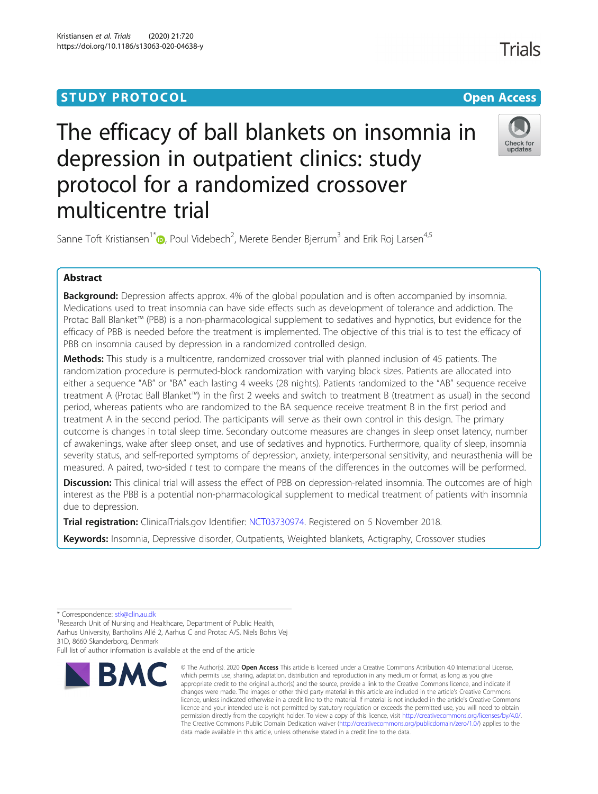# **STUDY PROTOCOL CONSUMING THE RESERVE ACCESS**

# The efficacy of ball blankets on insomnia in depression in outpatient clinics: study protocol for a randomized crossover multicentre trial



**Trials** 

Sanne Toft Kristiansen<sup>1\*</sup> $\textcolor{blue}{\bullet}$ , Poul Videbech<sup>2</sup>, Merete Bender Bjerrum<sup>3</sup> and Erik Roj Larsen<sup>4,5</sup>

# Abstract

**Background:** Depression affects approx. 4% of the global population and is often accompanied by insomnia. Medications used to treat insomnia can have side effects such as development of tolerance and addiction. The Protac Ball Blanket™ (PBB) is a non-pharmacological supplement to sedatives and hypnotics, but evidence for the efficacy of PBB is needed before the treatment is implemented. The objective of this trial is to test the efficacy of PBB on insomnia caused by depression in a randomized controlled design.

Methods: This study is a multicentre, randomized crossover trial with planned inclusion of 45 patients. The randomization procedure is permuted-block randomization with varying block sizes. Patients are allocated into either a sequence "AB" or "BA" each lasting 4 weeks (28 nights). Patients randomized to the "AB" sequence receive treatment A (Protac Ball Blanket™) in the first 2 weeks and switch to treatment B (treatment as usual) in the second period, whereas patients who are randomized to the BA sequence receive treatment B in the first period and treatment A in the second period. The participants will serve as their own control in this design. The primary outcome is changes in total sleep time. Secondary outcome measures are changes in sleep onset latency, number of awakenings, wake after sleep onset, and use of sedatives and hypnotics. Furthermore, quality of sleep, insomnia severity status, and self-reported symptoms of depression, anxiety, interpersonal sensitivity, and neurasthenia will be measured. A paired, two-sided t test to compare the means of the differences in the outcomes will be performed.

Discussion: This clinical trial will assess the effect of PBB on depression-related insomnia. The outcomes are of high interest as the PBB is a potential non-pharmacological supplement to medical treatment of patients with insomnia due to depression.

Trial registration: ClinicalTrials.gov Identifier: [NCT03730974](https://clinicaltrials.gov/ct2/show/NCT03730974?term=ball+blankets&cond=depression&draw=2&rank=1). Registered on 5 November 2018.

Keywords: Insomnia, Depressive disorder, Outpatients, Weighted blankets, Actigraphy, Crossover studies

31D, 8660 Skanderborg, Denmark

Full list of author information is available at the end of the article



<sup>©</sup> The Author(s), 2020 **Open Access** This article is licensed under a Creative Commons Attribution 4.0 International License, which permits use, sharing, adaptation, distribution and reproduction in any medium or format, as long as you give appropriate credit to the original author(s) and the source, provide a link to the Creative Commons licence, and indicate if changes were made. The images or other third party material in this article are included in the article's Creative Commons licence, unless indicated otherwise in a credit line to the material. If material is not included in the article's Creative Commons licence and your intended use is not permitted by statutory regulation or exceeds the permitted use, you will need to obtain permission directly from the copyright holder. To view a copy of this licence, visit [http://creativecommons.org/licenses/by/4.0/.](http://creativecommons.org/licenses/by/4.0/) The Creative Commons Public Domain Dedication waiver [\(http://creativecommons.org/publicdomain/zero/1.0/](http://creativecommons.org/publicdomain/zero/1.0/)) applies to the data made available in this article, unless otherwise stated in a credit line to the data.

<sup>\*</sup> Correspondence: [stk@clin.au.dk](mailto:stk@clin.au.dk) <sup>1</sup>

<sup>&</sup>lt;sup>1</sup>Research Unit of Nursing and Healthcare, Department of Public Health, Aarhus University, Bartholins Allé 2, Aarhus C and Protac A/S, Niels Bohrs Vej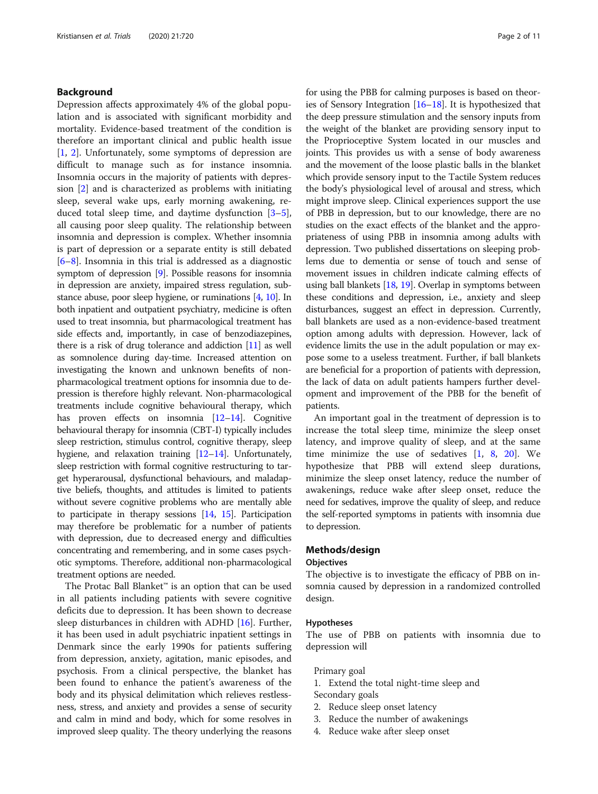# Background

Depression affects approximately 4% of the global population and is associated with significant morbidity and mortality. Evidence-based treatment of the condition is therefore an important clinical and public health issue [[1,](#page-10-0) [2\]](#page-10-0). Unfortunately, some symptoms of depression are difficult to manage such as for instance insomnia. Insomnia occurs in the majority of patients with depression [\[2](#page-10-0)] and is characterized as problems with initiating sleep, several wake ups, early morning awakening, reduced total sleep time, and daytime dysfunction [\[3](#page-10-0)–[5](#page-10-0)], all causing poor sleep quality. The relationship between insomnia and depression is complex. Whether insomnia is part of depression or a separate entity is still debated [[6](#page-10-0)–[8\]](#page-10-0). Insomnia in this trial is addressed as a diagnostic symptom of depression [\[9](#page-10-0)]. Possible reasons for insomnia in depression are anxiety, impaired stress regulation, substance abuse, poor sleep hygiene, or ruminations [\[4,](#page-10-0) [10](#page-10-0)]. In both inpatient and outpatient psychiatry, medicine is often used to treat insomnia, but pharmacological treatment has side effects and, importantly, in case of benzodiazepines, there is a risk of drug tolerance and addiction [[11](#page-10-0)] as well as somnolence during day-time. Increased attention on investigating the known and unknown benefits of nonpharmacological treatment options for insomnia due to depression is therefore highly relevant. Non-pharmacological treatments include cognitive behavioural therapy, which has proven effects on insomnia [\[12](#page-10-0)–[14](#page-10-0)]. Cognitive behavioural therapy for insomnia (CBT-I) typically includes sleep restriction, stimulus control, cognitive therapy, sleep hygiene, and relaxation training [\[12](#page-10-0)–[14\]](#page-10-0). Unfortunately, sleep restriction with formal cognitive restructuring to target hyperarousal, dysfunctional behaviours, and maladaptive beliefs, thoughts, and attitudes is limited to patients without severe cognitive problems who are mentally able to participate in therapy sessions [[14](#page-10-0), [15](#page-10-0)]. Participation may therefore be problematic for a number of patients with depression, due to decreased energy and difficulties concentrating and remembering, and in some cases psychotic symptoms. Therefore, additional non-pharmacological treatment options are needed.

The Protac Ball Blanket™ is an option that can be used in all patients including patients with severe cognitive deficits due to depression. It has been shown to decrease sleep disturbances in children with ADHD [\[16](#page-10-0)]. Further, it has been used in adult psychiatric inpatient settings in Denmark since the early 1990s for patients suffering from depression, anxiety, agitation, manic episodes, and psychosis. From a clinical perspective, the blanket has been found to enhance the patient's awareness of the body and its physical delimitation which relieves restlessness, stress, and anxiety and provides a sense of security and calm in mind and body, which for some resolves in improved sleep quality. The theory underlying the reasons for using the PBB for calming purposes is based on theories of Sensory Integration  $[16–18]$  $[16–18]$  $[16–18]$  $[16–18]$ . It is hypothesized that the deep pressure stimulation and the sensory inputs from the weight of the blanket are providing sensory input to the Proprioceptive System located in our muscles and joints. This provides us with a sense of body awareness and the movement of the loose plastic balls in the blanket which provide sensory input to the Tactile System reduces the body's physiological level of arousal and stress, which might improve sleep. Clinical experiences support the use of PBB in depression, but to our knowledge, there are no studies on the exact effects of the blanket and the appropriateness of using PBB in insomnia among adults with depression. Two published dissertations on sleeping problems due to dementia or sense of touch and sense of movement issues in children indicate calming effects of using ball blankets [[18](#page-10-0), [19\]](#page-10-0). Overlap in symptoms between these conditions and depression, i.e., anxiety and sleep disturbances, suggest an effect in depression. Currently, ball blankets are used as a non-evidence-based treatment option among adults with depression. However, lack of evidence limits the use in the adult population or may expose some to a useless treatment. Further, if ball blankets are beneficial for a proportion of patients with depression, the lack of data on adult patients hampers further development and improvement of the PBB for the benefit of patients.

An important goal in the treatment of depression is to increase the total sleep time, minimize the sleep onset latency, and improve quality of sleep, and at the same time minimize the use of sedatives [[1,](#page-10-0) [8,](#page-10-0) [20](#page-10-0)]. We hypothesize that PBB will extend sleep durations, minimize the sleep onset latency, reduce the number of awakenings, reduce wake after sleep onset, reduce the need for sedatives, improve the quality of sleep, and reduce the self-reported symptoms in patients with insomnia due to depression.

#### Methods/design

#### **Objectives**

The objective is to investigate the efficacy of PBB on insomnia caused by depression in a randomized controlled design.

#### Hypotheses

The use of PBB on patients with insomnia due to depression will

Primary goal

1. Extend the total night-time sleep and

Secondary goals

- 2. Reduce sleep onset latency
- 3. Reduce the number of awakenings
- 4. Reduce wake after sleep onset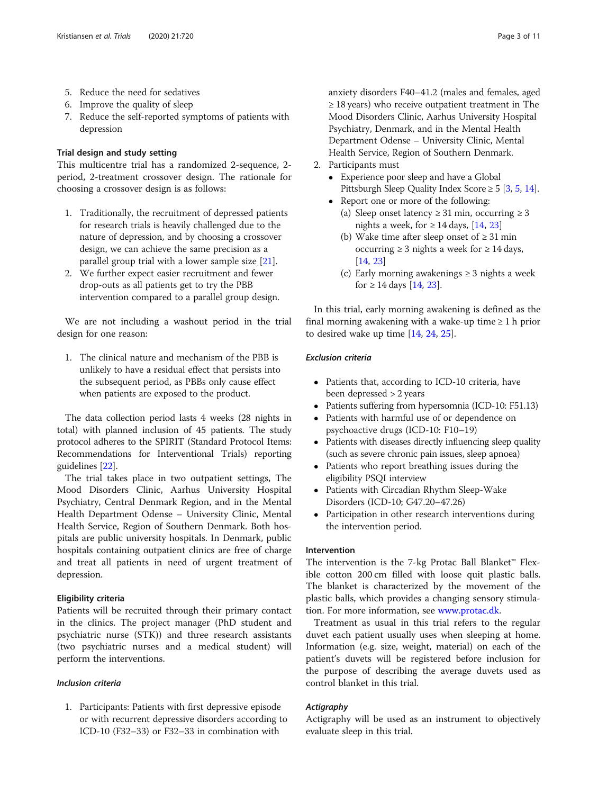- 5. Reduce the need for sedatives
- 6. Improve the quality of sleep
- 7. Reduce the self-reported symptoms of patients with depression

# Trial design and study setting

This multicentre trial has a randomized 2-sequence, 2 period, 2-treatment crossover design. The rationale for choosing a crossover design is as follows:

- 1. Traditionally, the recruitment of depressed patients for research trials is heavily challenged due to the nature of depression, and by choosing a crossover design, we can achieve the same precision as a parallel group trial with a lower sample size  $[21]$  $[21]$  $[21]$ .
- 2. We further expect easier recruitment and fewer drop-outs as all patients get to try the PBB intervention compared to a parallel group design.

We are not including a washout period in the trial design for one reason:

1. The clinical nature and mechanism of the PBB is unlikely to have a residual effect that persists into the subsequent period, as PBBs only cause effect when patients are exposed to the product.

The data collection period lasts 4 weeks (28 nights in total) with planned inclusion of 45 patients. The study protocol adheres to the SPIRIT (Standard Protocol Items: Recommendations for Interventional Trials) reporting guidelines [\[22](#page-10-0)].

The trial takes place in two outpatient settings, The Mood Disorders Clinic, Aarhus University Hospital Psychiatry, Central Denmark Region, and in the Mental Health Department Odense – University Clinic, Mental Health Service, Region of Southern Denmark. Both hospitals are public university hospitals. In Denmark, public hospitals containing outpatient clinics are free of charge and treat all patients in need of urgent treatment of depression.

# Eligibility criteria

Patients will be recruited through their primary contact in the clinics. The project manager (PhD student and psychiatric nurse (STK)) and three research assistants (two psychiatric nurses and a medical student) will perform the interventions.

# Inclusion criteria

1. Participants: Patients with first depressive episode or with recurrent depressive disorders according to ICD-10 (F32–33) or F32–33 in combination with

anxiety disorders F40–41.2 (males and females, aged ≥ 18 years) who receive outpatient treatment in The Mood Disorders Clinic, Aarhus University Hospital Psychiatry, Denmark, and in the Mental Health Department Odense – University Clinic, Mental Health Service, Region of Southern Denmark.

- 2. Participants must
	- Experience poor sleep and have a Global Pittsburgh Sleep Quality Index Score  $\geq 5$  [[3,](#page-10-0) [5,](#page-10-0) [14](#page-10-0)].
	- Report one or more of the following:
		- (a) Sleep onset latency  $\geq$  31 min, occurring  $\geq$  3 nights a week, for  $\geq 14$  days, [[14,](#page-10-0) [23](#page-10-0)]
		- (b) Wake time after sleep onset of  $\geq 31$  min occurring ≥ 3 nights a week for  $≥ 14$  days, [\[14,](#page-10-0) [23](#page-10-0)]
		- (c) Early morning awakenings  $\geq$  3 nights a week for ≥ [14](#page-10-0) days [14, [23](#page-10-0)].

In this trial, early morning awakening is defined as the final morning awakening with a wake-up time  $\geq 1$  h prior to desired wake up time [\[14](#page-10-0), [24](#page-10-0), [25](#page-10-0)].

# Exclusion criteria

- Patients that, according to ICD-10 criteria, have been depressed > 2 years
- Patients suffering from hypersomnia (ICD-10: F51.13)
- Patients with harmful use of or dependence on psychoactive drugs (ICD-10: F10–19)
- Patients with diseases directly influencing sleep quality (such as severe chronic pain issues, sleep apnoea)
- Patients who report breathing issues during the eligibility PSQI interview
- Patients with Circadian Rhythm Sleep-Wake Disorders (ICD-10; G47.20–47.26)
- Participation in other research interventions during the intervention period.

# Intervention

The intervention is the 7-kg Protac Ball Blanket™ Flexible cotton 200 cm filled with loose quit plastic balls. The blanket is characterized by the movement of the plastic balls, which provides a changing sensory stimulation. For more information, see [www.protac.dk](http://www.protac.dk).

Treatment as usual in this trial refers to the regular duvet each patient usually uses when sleeping at home. Information (e.g. size, weight, material) on each of the patient's duvets will be registered before inclusion for the purpose of describing the average duvets used as control blanket in this trial.

# Actigraphy

Actigraphy will be used as an instrument to objectively evaluate sleep in this trial.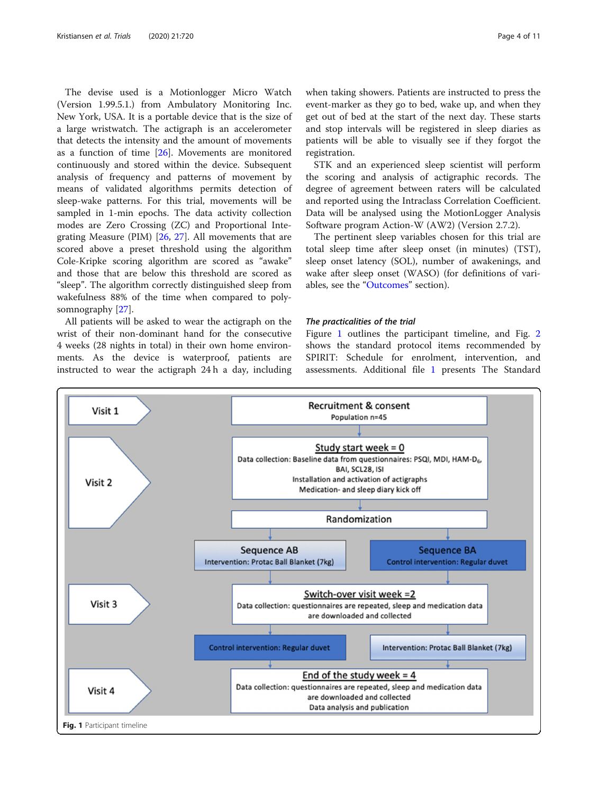<span id="page-3-0"></span>The devise used is a Motionlogger Micro Watch (Version 1.99.5.1.) from Ambulatory Monitoring Inc. New York, USA. It is a portable device that is the size of a large wristwatch. The actigraph is an accelerometer that detects the intensity and the amount of movements as a function of time [\[26](#page-10-0)]. Movements are monitored continuously and stored within the device. Subsequent analysis of frequency and patterns of movement by means of validated algorithms permits detection of sleep-wake patterns. For this trial, movements will be sampled in 1-min epochs. The data activity collection modes are Zero Crossing (ZC) and Proportional Integrating Measure (PIM) [\[26](#page-10-0), [27\]](#page-10-0). All movements that are scored above a preset threshold using the algorithm Cole-Kripke scoring algorithm are scored as "awake" and those that are below this threshold are scored as "sleep". The algorithm correctly distinguished sleep from wakefulness 88% of the time when compared to polysomnography [\[27\]](#page-10-0).

All patients will be asked to wear the actigraph on the wrist of their non-dominant hand for the consecutive 4 weeks (28 nights in total) in their own home environments. As the device is waterproof, patients are instructed to wear the actigraph 24 h a day, including when taking showers. Patients are instructed to press the event-marker as they go to bed, wake up, and when they get out of bed at the start of the next day. These starts and stop intervals will be registered in sleep diaries as patients will be able to visually see if they forgot the registration.

STK and an experienced sleep scientist will perform the scoring and analysis of actigraphic records. The degree of agreement between raters will be calculated and reported using the Intraclass Correlation Coefficient. Data will be analysed using the MotionLogger Analysis Software program Action-W (AW2) (Version 2.7.2).

The pertinent sleep variables chosen for this trial are total sleep time after sleep onset (in minutes) (TST), sleep onset latency (SOL), number of awakenings, and wake after sleep onset (WASO) (for definitions of vari-ables, see the "[Outcomes](#page-5-0)" section).

#### The practicalities of the trial

Figure 1 outlines the participant timeline, and Fig. [2](#page-4-0) shows the standard protocol items recommended by SPIRIT: Schedule for enrolment, intervention, and assessments. Additional file [1](#page-9-0) presents The Standard

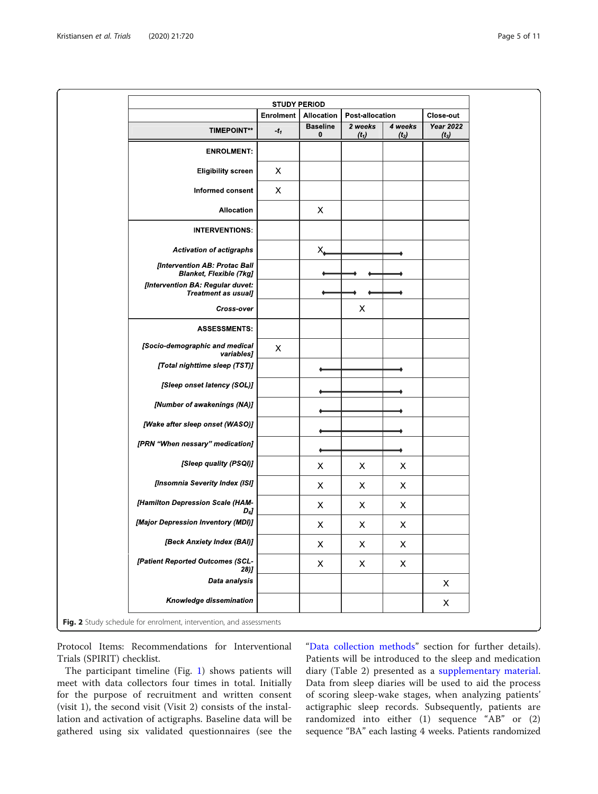<span id="page-4-0"></span>

|                                                                 | Enrolment | Allocation           | Post-allocation           |                    | Close-out                   |
|-----------------------------------------------------------------|-----------|----------------------|---------------------------|--------------------|-----------------------------|
| <b>TIMEPOINT**</b>                                              | $-t_1$    | <b>Baseline</b><br>0 | 2 weeks<br>$(t_1)$        | 4 weeks<br>$(t_2)$ | <b>Year 2022</b><br>$(t_3)$ |
| <b>ENROLMENT:</b>                                               |           |                      |                           |                    |                             |
| <b>Eligibility screen</b>                                       | Х         |                      |                           |                    |                             |
| Informed consent                                                | X         |                      |                           |                    |                             |
| Allocation                                                      |           | Х                    |                           |                    |                             |
| <b>INTERVENTIONS:</b>                                           |           |                      |                           |                    |                             |
| <b>Activation of actigraphs</b>                                 |           | $X_{\leftarrow}$     |                           |                    |                             |
| [Intervention AB: Protac Ball<br><b>Blanket, Flexible (7kg]</b> |           |                      |                           |                    |                             |
| [Intervention BA: Regular duvet:<br><b>Treatment as usual]</b>  |           |                      |                           |                    |                             |
| <b>Cross-over</b>                                               |           |                      | X                         |                    |                             |
| <b>ASSESSMENTS:</b>                                             |           |                      |                           |                    |                             |
| [Socio-demographic and medical<br>variables]                    | X         |                      |                           |                    |                             |
| [Total nighttime sleep (TST)]                                   |           |                      |                           |                    |                             |
| [Sleep onset latency (SOL)]                                     |           |                      |                           |                    |                             |
| [Number of awakenings (NA)]                                     |           |                      |                           |                    |                             |
| [Wake after sleep onset (WASO)]                                 |           |                      |                           |                    |                             |
| [PRN "When nessary" medication]                                 |           |                      |                           |                    |                             |
| [Sleep quality (PSQI)]                                          |           | X                    | Х                         | X                  |                             |
| [Insomnia Severity Index (ISI]                                  |           | Χ                    | X                         | X                  |                             |
| [Hamilton Depression Scale (HAM-<br>$D_6$                       |           | Х                    | X                         | X                  |                             |
| [Major Depression Inventory (MDI)]                              |           | Х                    | X                         | Х                  |                             |
| [Beck Anxiety Index (BAI)]                                      |           | $\mathsf X$          | $\pmb{\times}$            | X                  |                             |
| [Patient Reported Outcomes (SCL-<br>28)                         |           | $\pmb{\times}$       | $\boldsymbol{\mathsf{X}}$ | $\pmb{\mathsf{X}}$ |                             |
| Data analysis                                                   |           |                      |                           |                    | X                           |
| Knowledge dissemination                                         |           |                      |                           |                    | X                           |

Protocol Items: Recommendations for Interventional Trials (SPIRIT) checklist.

The participant timeline (Fig. [1](#page-3-0)) shows patients will meet with data collectors four times in total. Initially for the purpose of recruitment and written consent (visit 1), the second visit (Visit 2) consists of the installation and activation of actigraphs. Baseline data will be gathered using six validated questionnaires (see the

"[Data collection methods](#page-7-0)" section for further details). Patients will be introduced to the sleep and medication diary (Table 2) presented as a [supplementary material](#page-9-0). Data from sleep diaries will be used to aid the process of scoring sleep-wake stages, when analyzing patients' actigraphic sleep records. Subsequently, patients are randomized into either (1) sequence "AB" or (2) sequence "BA" each lasting 4 weeks. Patients randomized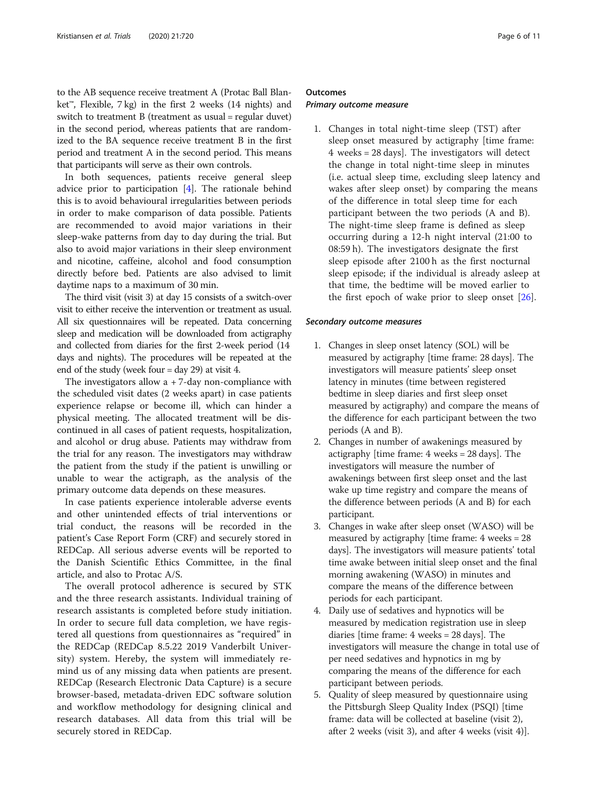<span id="page-5-0"></span>to the AB sequence receive treatment A (Protac Ball Blanket<sup>™</sup>, Flexible, 7 kg) in the first 2 weeks (14 nights) and switch to treatment B (treatment as usual = regular duvet) in the second period, whereas patients that are randomized to the BA sequence receive treatment B in the first period and treatment A in the second period. This means that participants will serve as their own controls.

In both sequences, patients receive general sleep advice prior to participation [\[4](#page-10-0)]. The rationale behind this is to avoid behavioural irregularities between periods in order to make comparison of data possible. Patients are recommended to avoid major variations in their sleep-wake patterns from day to day during the trial. But also to avoid major variations in their sleep environment and nicotine, caffeine, alcohol and food consumption directly before bed. Patients are also advised to limit daytime naps to a maximum of 30 min.

The third visit (visit 3) at day 15 consists of a switch-over visit to either receive the intervention or treatment as usual. All six questionnaires will be repeated. Data concerning sleep and medication will be downloaded from actigraphy and collected from diaries for the first 2-week period (14 days and nights). The procedures will be repeated at the end of the study (week four = day 29) at visit 4.

The investigators allow  $a + 7$ -day non-compliance with the scheduled visit dates (2 weeks apart) in case patients experience relapse or become ill, which can hinder a physical meeting. The allocated treatment will be discontinued in all cases of patient requests, hospitalization, and alcohol or drug abuse. Patients may withdraw from the trial for any reason. The investigators may withdraw the patient from the study if the patient is unwilling or unable to wear the actigraph, as the analysis of the primary outcome data depends on these measures.

In case patients experience intolerable adverse events and other unintended effects of trial interventions or trial conduct, the reasons will be recorded in the patient's Case Report Form (CRF) and securely stored in REDCap. All serious adverse events will be reported to the Danish Scientific Ethics Committee, in the final article, and also to Protac A/S.

The overall protocol adherence is secured by STK and the three research assistants. Individual training of research assistants is completed before study initiation. In order to secure full data completion, we have registered all questions from questionnaires as "required" in the REDCap (REDCap 8.5.22 2019 Vanderbilt University) system. Hereby, the system will immediately remind us of any missing data when patients are present. REDCap (Research Electronic Data Capture) is a secure browser-based, metadata-driven EDC software solution and workflow methodology for designing clinical and research databases. All data from this trial will be securely stored in REDCap.

### **Outcomes**

#### Primary outcome measure

1. Changes in total night-time sleep (TST) after sleep onset measured by actigraphy [time frame: 4 weeks = 28 days]. The investigators will detect the change in total night-time sleep in minutes (i.e. actual sleep time, excluding sleep latency and wakes after sleep onset) by comparing the means of the difference in total sleep time for each participant between the two periods (A and B). The night-time sleep frame is defined as sleep occurring during a 12-h night interval (21:00 to 08:59 h). The investigators designate the first sleep episode after 2100 h as the first nocturnal sleep episode; if the individual is already asleep at that time, the bedtime will be moved earlier to the first epoch of wake prior to sleep onset  $[26]$  $[26]$ .

#### Secondary outcome measures

- 1. Changes in sleep onset latency (SOL) will be measured by actigraphy [time frame: 28 days]. The investigators will measure patients' sleep onset latency in minutes (time between registered bedtime in sleep diaries and first sleep onset measured by actigraphy) and compare the means of the difference for each participant between the two periods (A and B).
- 2. Changes in number of awakenings measured by actigraphy [time frame: 4 weeks = 28 days]. The investigators will measure the number of awakenings between first sleep onset and the last wake up time registry and compare the means of the difference between periods (A and B) for each participant.
- 3. Changes in wake after sleep onset (WASO) will be measured by actigraphy [time frame: 4 weeks = 28 days]. The investigators will measure patients' total time awake between initial sleep onset and the final morning awakening (WASO) in minutes and compare the means of the difference between periods for each participant.
- 4. Daily use of sedatives and hypnotics will be measured by medication registration use in sleep diaries [time frame: 4 weeks = 28 days]. The investigators will measure the change in total use of per need sedatives and hypnotics in mg by comparing the means of the difference for each participant between periods.
- 5. Quality of sleep measured by questionnaire using the Pittsburgh Sleep Quality Index (PSQI) [time frame: data will be collected at baseline (visit 2), after 2 weeks (visit 3), and after 4 weeks (visit 4)].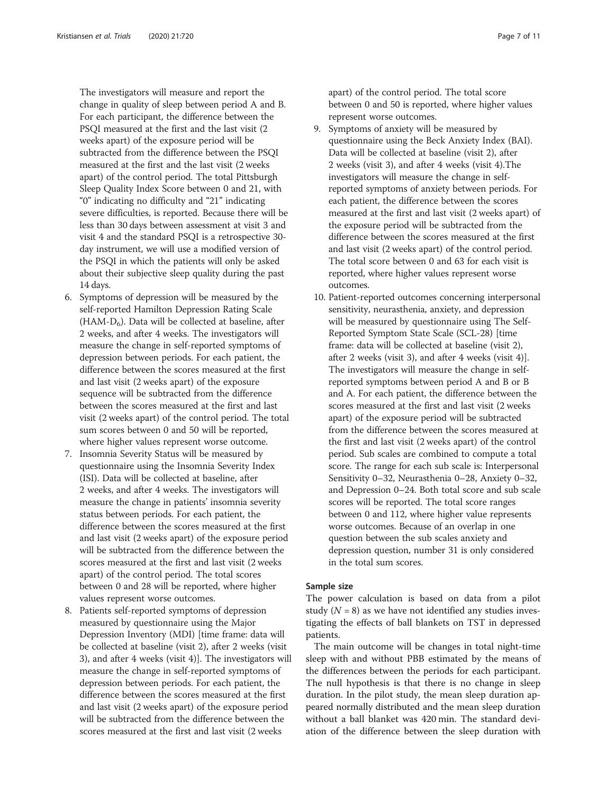The investigators will measure and report the change in quality of sleep between period A and B. For each participant, the difference between the PSQI measured at the first and the last visit (2 weeks apart) of the exposure period will be subtracted from the difference between the PSQI measured at the first and the last visit (2 weeks apart) of the control period. The total Pittsburgh Sleep Quality Index Score between 0 and 21, with "0" indicating no difficulty and "21" indicating severe difficulties, is reported. Because there will be less than 30 days between assessment at visit 3 and visit 4 and the standard PSQI is a retrospective 30 day instrument, we will use a modified version of the PSQI in which the patients will only be asked about their subjective sleep quality during the past 14 days.

- 6. Symptoms of depression will be measured by the self-reported Hamilton Depression Rating Scale  $(HAM-D<sub>6</sub>)$ . Data will be collected at baseline, after 2 weeks, and after 4 weeks. The investigators will measure the change in self-reported symptoms of depression between periods. For each patient, the difference between the scores measured at the first and last visit (2 weeks apart) of the exposure sequence will be subtracted from the difference between the scores measured at the first and last visit (2 weeks apart) of the control period. The total sum scores between 0 and 50 will be reported, where higher values represent worse outcome.
- 7. Insomnia Severity Status will be measured by questionnaire using the Insomnia Severity Index (ISI). Data will be collected at baseline, after 2 weeks, and after 4 weeks. The investigators will measure the change in patients' insomnia severity status between periods. For each patient, the difference between the scores measured at the first and last visit (2 weeks apart) of the exposure period will be subtracted from the difference between the scores measured at the first and last visit (2 weeks apart) of the control period. The total scores between 0 and 28 will be reported, where higher values represent worse outcomes.
- 8. Patients self-reported symptoms of depression measured by questionnaire using the Major Depression Inventory (MDI) [time frame: data will be collected at baseline (visit 2), after 2 weeks (visit 3), and after 4 weeks (visit 4)]. The investigators will measure the change in self-reported symptoms of depression between periods. For each patient, the difference between the scores measured at the first and last visit (2 weeks apart) of the exposure period will be subtracted from the difference between the scores measured at the first and last visit (2 weeks

apart) of the control period. The total score between 0 and 50 is reported, where higher values represent worse outcomes.

- 9. Symptoms of anxiety will be measured by questionnaire using the Beck Anxiety Index (BAI). Data will be collected at baseline (visit 2), after 2 weeks (visit 3), and after 4 weeks (visit 4).The investigators will measure the change in selfreported symptoms of anxiety between periods. For each patient, the difference between the scores measured at the first and last visit (2 weeks apart) of the exposure period will be subtracted from the difference between the scores measured at the first and last visit (2 weeks apart) of the control period. The total score between 0 and 63 for each visit is reported, where higher values represent worse outcomes.
- 10. Patient-reported outcomes concerning interpersonal sensitivity, neurasthenia, anxiety, and depression will be measured by questionnaire using The Self-Reported Symptom State Scale (SCL-28) [time frame: data will be collected at baseline (visit 2), after 2 weeks (visit 3), and after 4 weeks (visit 4)]. The investigators will measure the change in selfreported symptoms between period A and B or B and A. For each patient, the difference between the scores measured at the first and last visit (2 weeks apart) of the exposure period will be subtracted from the difference between the scores measured at the first and last visit (2 weeks apart) of the control period. Sub scales are combined to compute a total score. The range for each sub scale is: Interpersonal Sensitivity 0–32, Neurasthenia 0–28, Anxiety 0–32, and Depression 0–24. Both total score and sub scale scores will be reported. The total score ranges between 0 and 112, where higher value represents worse outcomes. Because of an overlap in one question between the sub scales anxiety and depression question, number 31 is only considered in the total sum scores.

#### Sample size

The power calculation is based on data from a pilot study  $(N = 8)$  as we have not identified any studies investigating the effects of ball blankets on TST in depressed patients.

The main outcome will be changes in total night-time sleep with and without PBB estimated by the means of the differences between the periods for each participant. The null hypothesis is that there is no change in sleep duration. In the pilot study, the mean sleep duration appeared normally distributed and the mean sleep duration without a ball blanket was 420 min. The standard deviation of the difference between the sleep duration with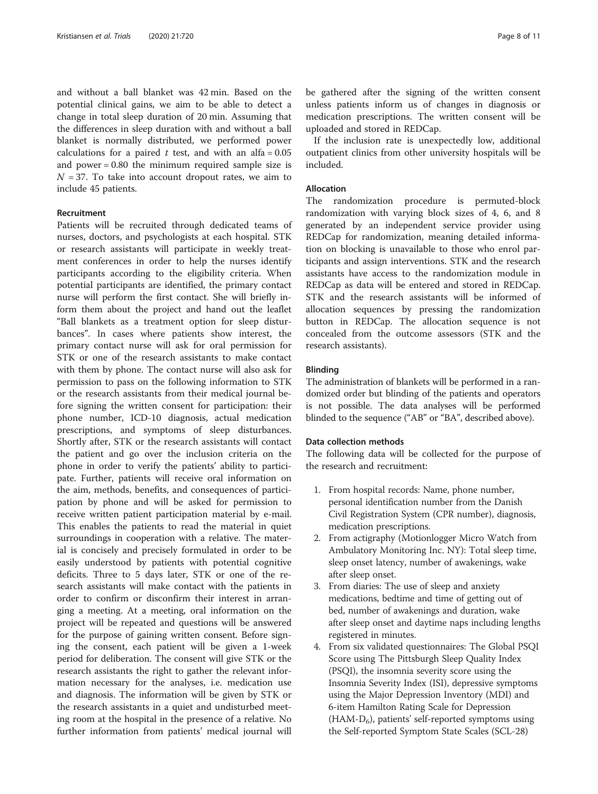<span id="page-7-0"></span>and without a ball blanket was 42 min. Based on the potential clinical gains, we aim to be able to detect a change in total sleep duration of 20 min. Assuming that the differences in sleep duration with and without a ball blanket is normally distributed, we performed power calculations for a paired  $t$  test, and with an alfa = 0.05 and power = 0.80 the minimum required sample size is  $N = 37$ . To take into account dropout rates, we aim to include 45 patients.

# Recruitment

Patients will be recruited through dedicated teams of nurses, doctors, and psychologists at each hospital. STK or research assistants will participate in weekly treatment conferences in order to help the nurses identify participants according to the eligibility criteria. When potential participants are identified, the primary contact nurse will perform the first contact. She will briefly inform them about the project and hand out the leaflet "Ball blankets as a treatment option for sleep disturbances". In cases where patients show interest, the primary contact nurse will ask for oral permission for STK or one of the research assistants to make contact with them by phone. The contact nurse will also ask for permission to pass on the following information to STK or the research assistants from their medical journal before signing the written consent for participation: their phone number, ICD-10 diagnosis, actual medication prescriptions, and symptoms of sleep disturbances. Shortly after, STK or the research assistants will contact the patient and go over the inclusion criteria on the phone in order to verify the patients' ability to participate. Further, patients will receive oral information on the aim, methods, benefits, and consequences of participation by phone and will be asked for permission to receive written patient participation material by e-mail. This enables the patients to read the material in quiet surroundings in cooperation with a relative. The material is concisely and precisely formulated in order to be easily understood by patients with potential cognitive deficits. Three to 5 days later, STK or one of the research assistants will make contact with the patients in order to confirm or disconfirm their interest in arranging a meeting. At a meeting, oral information on the project will be repeated and questions will be answered for the purpose of gaining written consent. Before signing the consent, each patient will be given a 1-week period for deliberation. The consent will give STK or the research assistants the right to gather the relevant information necessary for the analyses, i.e. medication use and diagnosis. The information will be given by STK or the research assistants in a quiet and undisturbed meeting room at the hospital in the presence of a relative. No further information from patients' medical journal will be gathered after the signing of the written consent unless patients inform us of changes in diagnosis or medication prescriptions. The written consent will be uploaded and stored in REDCap.

If the inclusion rate is unexpectedly low, additional outpatient clinics from other university hospitals will be included.

# Allocation

The randomization procedure is permuted-block randomization with varying block sizes of 4, 6, and 8 generated by an independent service provider using REDCap for randomization, meaning detailed information on blocking is unavailable to those who enrol participants and assign interventions. STK and the research assistants have access to the randomization module in REDCap as data will be entered and stored in REDCap. STK and the research assistants will be informed of allocation sequences by pressing the randomization button in REDCap. The allocation sequence is not concealed from the outcome assessors (STK and the research assistants).

#### Blinding

The administration of blankets will be performed in a randomized order but blinding of the patients and operators is not possible. The data analyses will be performed blinded to the sequence ("AB" or "BA", described above).

#### Data collection methods

The following data will be collected for the purpose of the research and recruitment:

- 1. From hospital records: Name, phone number, personal identification number from the Danish Civil Registration System (CPR number), diagnosis, medication prescriptions.
- 2. From actigraphy (Motionlogger Micro Watch from Ambulatory Monitoring Inc. NY): Total sleep time, sleep onset latency, number of awakenings, wake after sleep onset.
- 3. From diaries: The use of sleep and anxiety medications, bedtime and time of getting out of bed, number of awakenings and duration, wake after sleep onset and daytime naps including lengths registered in minutes.
- 4. From six validated questionnaires: The Global PSQI Score using The Pittsburgh Sleep Quality Index (PSQI), the insomnia severity score using the Insomnia Severity Index (ISI), depressive symptoms using the Major Depression Inventory (MDI) and 6-item Hamilton Rating Scale for Depression  $(HAM-D<sub>6</sub>)$ , patients' self-reported symptoms using the Self-reported Symptom State Scales (SCL-28)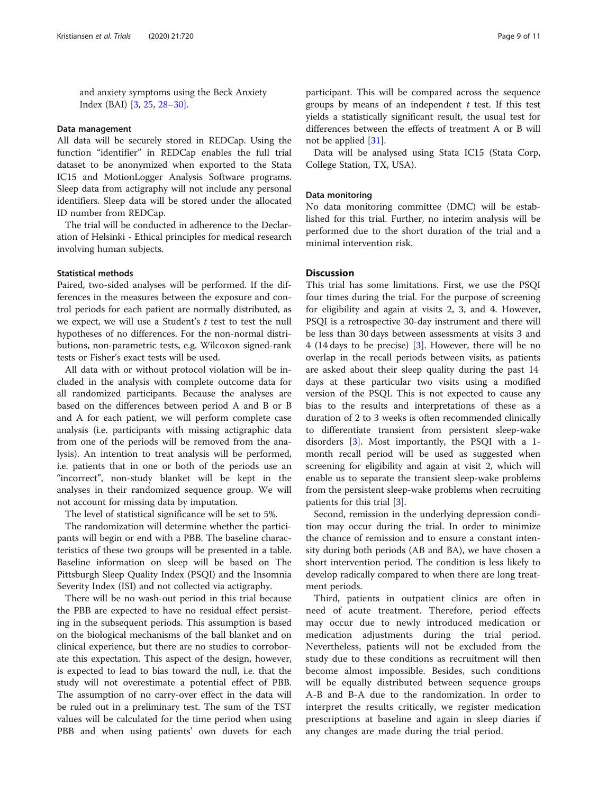and anxiety symptoms using the Beck Anxiety Index (BAI) [\[3,](#page-10-0) [25,](#page-10-0) [28](#page-10-0)–[30\]](#page-10-0).

#### Data management

All data will be securely stored in REDCap. Using the function "identifier" in REDCap enables the full trial dataset to be anonymized when exported to the Stata IC15 and MotionLogger Analysis Software programs. Sleep data from actigraphy will not include any personal identifiers. Sleep data will be stored under the allocated ID number from REDCap.

The trial will be conducted in adherence to the Declaration of Helsinki - Ethical principles for medical research involving human subjects.

#### Statistical methods

Paired, two-sided analyses will be performed. If the differences in the measures between the exposure and control periods for each patient are normally distributed, as we expect, we will use a Student's  $t$  test to test the null hypotheses of no differences. For the non-normal distributions, non-parametric tests, e.g. Wilcoxon signed-rank tests or Fisher's exact tests will be used.

All data with or without protocol violation will be included in the analysis with complete outcome data for all randomized participants. Because the analyses are based on the differences between period A and B or B and A for each patient, we will perform complete case analysis (i.e. participants with missing actigraphic data from one of the periods will be removed from the analysis). An intention to treat analysis will be performed, i.e. patients that in one or both of the periods use an "incorrect", non-study blanket will be kept in the analyses in their randomized sequence group. We will not account for missing data by imputation.

The level of statistical significance will be set to 5%.

The randomization will determine whether the participants will begin or end with a PBB. The baseline characteristics of these two groups will be presented in a table. Baseline information on sleep will be based on The Pittsburgh Sleep Quality Index (PSQI) and the Insomnia Severity Index (ISI) and not collected via actigraphy.

There will be no wash-out period in this trial because the PBB are expected to have no residual effect persisting in the subsequent periods. This assumption is based on the biological mechanisms of the ball blanket and on clinical experience, but there are no studies to corroborate this expectation. This aspect of the design, however, is expected to lead to bias toward the null, i.e. that the study will not overestimate a potential effect of PBB. The assumption of no carry-over effect in the data will be ruled out in a preliminary test. The sum of the TST values will be calculated for the time period when using PBB and when using patients' own duvets for each

participant. This will be compared across the sequence groups by means of an independent  $t$  test. If this test yields a statistically significant result, the usual test for differences between the effects of treatment A or B will not be applied [\[31](#page-10-0)].

Data will be analysed using Stata IC15 (Stata Corp, College Station, TX, USA).

#### Data monitoring

No data monitoring committee (DMC) will be established for this trial. Further, no interim analysis will be performed due to the short duration of the trial and a minimal intervention risk.

# Discussion

This trial has some limitations. First, we use the PSQI four times during the trial. For the purpose of screening for eligibility and again at visits 2, 3, and 4. However, PSQI is a retrospective 30-day instrument and there will be less than 30 days between assessments at visits 3 and 4 (14 days to be precise) [[3](#page-10-0)]. However, there will be no overlap in the recall periods between visits, as patients are asked about their sleep quality during the past 14 days at these particular two visits using a modified version of the PSQI. This is not expected to cause any bias to the results and interpretations of these as a duration of 2 to 3 weeks is often recommended clinically to differentiate transient from persistent sleep-wake disorders [\[3](#page-10-0)]. Most importantly, the PSQI with a 1 month recall period will be used as suggested when screening for eligibility and again at visit 2, which will enable us to separate the transient sleep-wake problems from the persistent sleep-wake problems when recruiting patients for this trial [[3\]](#page-10-0).

Second, remission in the underlying depression condition may occur during the trial. In order to minimize the chance of remission and to ensure a constant intensity during both periods (AB and BA), we have chosen a short intervention period. The condition is less likely to develop radically compared to when there are long treatment periods.

Third, patients in outpatient clinics are often in need of acute treatment. Therefore, period effects may occur due to newly introduced medication or medication adjustments during the trial period. Nevertheless, patients will not be excluded from the study due to these conditions as recruitment will then become almost impossible. Besides, such conditions will be equally distributed between sequence groups A-B and B-A due to the randomization. In order to interpret the results critically, we register medication prescriptions at baseline and again in sleep diaries if any changes are made during the trial period.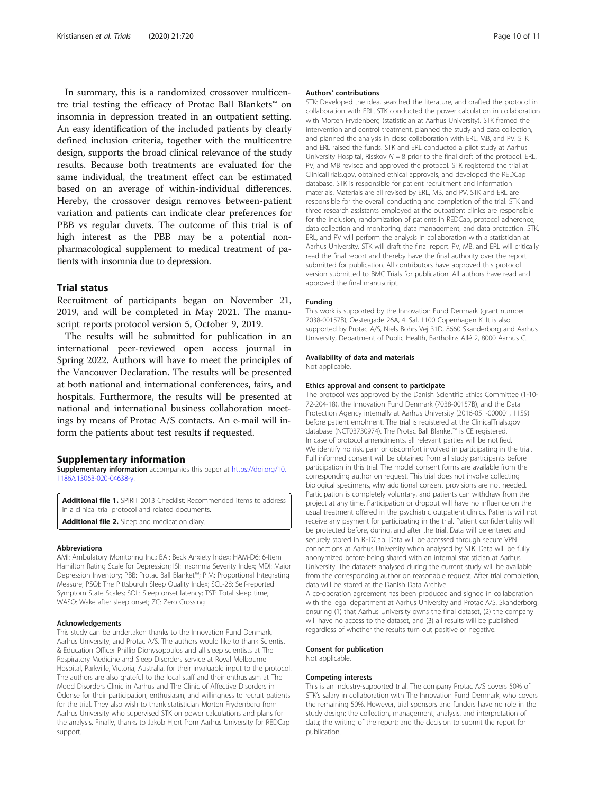<span id="page-9-0"></span>In summary, this is a randomized crossover multicentre trial testing the efficacy of Protac Ball Blankets™ on insomnia in depression treated in an outpatient setting. An easy identification of the included patients by clearly defined inclusion criteria, together with the multicentre design, supports the broad clinical relevance of the study results. Because both treatments are evaluated for the same individual, the treatment effect can be estimated based on an average of within-individual differences. Hereby, the crossover design removes between-patient variation and patients can indicate clear preferences for PBB vs regular duvets. The outcome of this trial is of high interest as the PBB may be a potential nonpharmacological supplement to medical treatment of patients with insomnia due to depression.

#### Trial status

Recruitment of participants began on November 21, 2019, and will be completed in May 2021. The manuscript reports protocol version 5, October 9, 2019.

The results will be submitted for publication in an international peer-reviewed open access journal in Spring 2022. Authors will have to meet the principles of the Vancouver Declaration. The results will be presented at both national and international conferences, fairs, and hospitals. Furthermore, the results will be presented at national and international business collaboration meetings by means of Protac A/S contacts. An e-mail will inform the patients about test results if requested.

#### Supplementary information

Supplementary information accompanies this paper at [https://doi.org/10.](https://doi.org/10.1186/s13063-020-04638-y) [1186/s13063-020-04638-y](https://doi.org/10.1186/s13063-020-04638-y).

Additional file 1. SPIRIT 2013 Checklist: Recommended items to address in a clinical trial protocol and related documents. Additional file 2. Sleep and medication diary.

#### Abbreviations

AMI: Ambulatory Monitoring Inc.; BAI: Beck Anxiety Index; HAM-D6: 6-Item Hamilton Rating Scale for Depression; ISI: Insomnia Severity Index; MDI: Major Depression Inventory; PBB: Protac Ball Blanket™; PIM: Proportional Integrating Measure; PSQI: The Pittsburgh Sleep Quality Index; SCL-28: Self-reported Symptom State Scales; SOL: Sleep onset latency; TST: Total sleep time; WASO: Wake after sleep onset; ZC: Zero Crossing

#### Acknowledgements

This study can be undertaken thanks to the Innovation Fund Denmark, Aarhus University, and Protac A/S. The authors would like to thank Scientist & Education Officer Phillip Dionysopoulos and all sleep scientists at The Respiratory Medicine and Sleep Disorders service at Royal Melbourne Hospital, Parkville, Victoria, Australia, for their invaluable input to the protocol. The authors are also grateful to the local staff and their enthusiasm at The Mood Disorders Clinic in Aarhus and The Clinic of Affective Disorders in Odense for their participation, enthusiasm, and willingness to recruit patients for the trial. They also wish to thank statistician Morten Frydenberg from Aarhus University who supervised STK on power calculations and plans for the analysis. Finally, thanks to Jakob Hjort from Aarhus University for REDCap support.

#### Authors' contributions

STK: Developed the idea, searched the literature, and drafted the protocol in collaboration with ERL. STK conducted the power calculation in collaboration with Morten Frydenberg (statistician at Aarhus University). STK framed the intervention and control treatment, planned the study and data collection, and planned the analysis in close collaboration with ERL, MB, and PV. STK and ERL raised the funds. STK and ERL conducted a pilot study at Aarhus University Hospital, Risskov  $N = 8$  prior to the final draft of the protocol. ERL, PV, and MB revised and approved the protocol. STK registered the trial at ClinicalTrials.gov, obtained ethical approvals, and developed the REDCap database. STK is responsible for patient recruitment and information materials. Materials are all revised by ERL, MB, and PV. STK and ERL are responsible for the overall conducting and completion of the trial. STK and three research assistants employed at the outpatient clinics are responsible for the inclusion, randomization of patients in REDCap, protocol adherence, data collection and monitoring, data management, and data protection. STK, ERL, and PV will perform the analysis in collaboration with a statistician at Aarhus University. STK will draft the final report. PV, MB, and ERL will critically read the final report and thereby have the final authority over the report submitted for publication. All contributors have approved this protocol version submitted to BMC Trials for publication. All authors have read and approved the final manuscript.

#### Funding

This work is supported by the Innovation Fund Denmark (grant number 7038-00157B), Oestergade 26A, 4. Sal, 1100 Copenhagen K. It is also supported by Protac A/S, Niels Bohrs Vej 31D, 8660 Skanderborg and Aarhus University, Department of Public Health, Bartholins Allé 2, 8000 Aarhus C.

#### Availability of data and materials

Not applicable.

#### Ethics approval and consent to participate

The protocol was approved by the Danish Scientific Ethics Committee (1-10- 72-204-18), the Innovation Fund Denmark (7038-00157B), and the Data Protection Agency internally at Aarhus University (2016-051-000001, 1159) before patient enrolment. The trial is registered at the ClinicalTrials.gov database (NCT03730974). The Protac Ball Blanket™ is CE registered. In case of protocol amendments, all relevant parties will be notified. We identify no risk, pain or discomfort involved in participating in the trial. Full informed consent will be obtained from all study participants before participation in this trial. The model consent forms are available from the corresponding author on request. This trial does not involve collecting biological specimens, why additional consent provisions are not needed. Participation is completely voluntary, and patients can withdraw from the project at any time. Participation or dropout will have no influence on the usual treatment offered in the psychiatric outpatient clinics. Patients will not receive any payment for participating in the trial. Patient confidentiality will be protected before, during, and after the trial. Data will be entered and securely stored in REDCap. Data will be accessed through secure VPN connections at Aarhus University when analysed by STK. Data will be fully anonymized before being shared with an internal statistician at Aarhus University. The datasets analysed during the current study will be available from the corresponding author on reasonable request. After trial completion, data will be stored at the Danish Data Archive.

A co-operation agreement has been produced and signed in collaboration with the legal department at Aarhus University and Protac A/S, Skanderborg, ensuring (1) that Aarhus University owns the final dataset, (2) the company will have no access to the dataset, and (3) all results will be published regardless of whether the results turn out positive or negative.

# Consent for publication

Not applicable.

### Competing interests

This is an industry-supported trial. The company Protac A/S covers 50% of STK's salary in collaboration with The Innovation Fund Denmark, who covers the remaining 50%. However, trial sponsors and funders have no role in the study design; the collection, management, analysis, and interpretation of data; the writing of the report; and the decision to submit the report for publication.